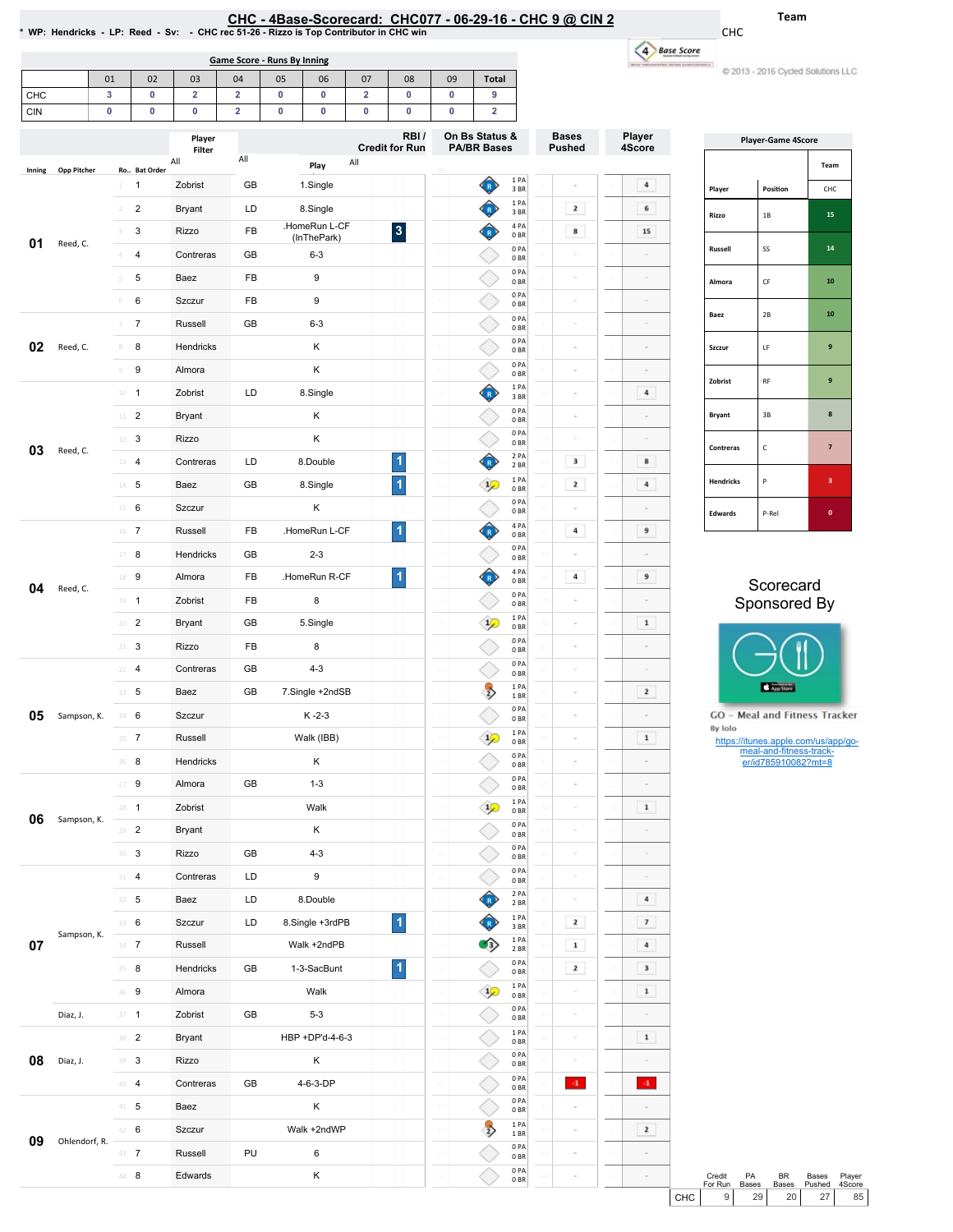| CHC - 4Base-Scorecard: CHC077 - 06-29-16 - CHC 9 @ CIN 2                               |  |
|----------------------------------------------------------------------------------------|--|
| * WP: Hendricks - LP: Reed - Sv: - CHC rec 51-26 - Rizzo is Top Contributor in CHC win |  |

1

0PA 0BR 0PA 0BR 0PA 0BR  $\begin{array}{c} 1 \text{ PA} \\ 3 \text{ BR} \end{array}$ 0PA 0BR 0PA 0BR 2PA 2BR  $\begin{array}{c} 1 \ \text{PA} \ 0 \ \text{BR} \end{array}$ 0PA 0BR 4PA 0BR 0PA 0BR 4PA 0BR 0PA 0BR 1PA 0BR 0PA 0BR 0PA 0BR  $\begin{array}{c} 1 \text{ PA} \\ 1 \text{ BR} \end{array}$ 0PA 0BR 1PA 0BR 0PA 0BR 0PA 0BR 1PA 0BR 0PA 0BR 0PA 0BR

◇

◇

◈

♦

 $\bigcirc$ 

♦

♦

◇  $\mathcal{P}$ 

◇

€

 $\rightarrow$ 

◇

 $\mathbf{1}_{\mathcal{D}}$ 

◇ ◇  $\bigcirc$ 

 $\sim$ 

 $\sim$ 

 $\sim$ 

 $\alpha$  $\sim$ 

 $\overline{\mathbf{3}}$ 

 $\overline{2}$ 

 $\overline{4}$ 

 $\bar{\phantom{a}}$ 

 $\,$  4  $\,$ 

 $\sim$ 

 $\sim$ 

 $\sim$ 

 $\sim$ 

 $\sim$ 

 $\sim$  $\epsilon$ 

GameScore-RunsByInning

7 7 Russell GB 6-3 8 8 Hendricks K 9 9 Almora K

10 1 Zobrist LD 8.Single 2 Bryant K 3 Rizzo K 4 Contreras LD 8.Double 5 Baez GB 8.Single 6 Szczur K

 7 Russell FB .HomeRunL-CF 8 Hendricks GB 2-3 18 9 Almora FB .HomeRun R-CF **1 Zobrist** FB 8 2 Bryant GB 5.Single 3 Rizzo FB 8

22 4 Contreras GB 4-3 23 5 Baez GB 7.Single+2ndSB Szczur K-2-3

25 7 Russell Walk (IBB) 26 8 Hendricks K

27 9 Almora GB 1-3 28 1 Zobrist Walk

30 3 Rizzo GB 4-3

Diaz, J. 37 1 Zobrist GB 5-3

Bryant K

**02** Reed, C.

03 Reed, C.

04 Reed, C.

**05** Sampson, K. 24 6

**06** Sampson, K.  $\frac{1}{29}$  2

Sampson, K.  $\overline{\qquad \qquad }$  34 7

07

08 Diaz,J.

**09** Ohlendorf, R.  $\frac{1}{43}$  7

Team

CHC

| 4 Base Score<br><b>Received Auditors' Luxley Automo-</b> |                                    |
|----------------------------------------------------------|------------------------------------|
|                                                          | C 2013 - 2016 Cycled Solutions LLC |

 $\boxed{4}$  $\,$  6  $\,$  $15\,$ 

 $\sim$ 

 $\sim$ 

 $\overline{4}$ 

 $\bar{a}$ 

 $\sim$ 

 $\mathbf{s}$ 

 $\,$  4  $\,$ 

 $^{\rm g}$ 

 $\overline{\phantom{a}}$ 

 $9$ 

 $\,$   $\,$ 

 $\sim$ 

 $\overline{\phantom{a}}$ 

 $\overline{2}$ 

 $\bar{a}$ 

 $\,$  1  $\,$ 

 $\mathbf 1$ 

 $\sim$ 

|        |                    |               |                |              |                  | Game Score - Kuns by mining |    |                              |                |                               |     |                                      |                        |                               | <b>CONTRACTOR</b><br><b>Mader 18 Nortens</b> |
|--------|--------------------|---------------|----------------|--------------|------------------|-----------------------------|----|------------------------------|----------------|-------------------------------|-----|--------------------------------------|------------------------|-------------------------------|----------------------------------------------|
|        |                    | 01            |                | 02           | 03               | 04                          | 05 | 06                           | 07             | 08                            | 09  | <b>Total</b>                         |                        |                               |                                              |
| CHC    |                    | 3             |                | $\mathbf{0}$ | $\overline{2}$   | $\overline{2}$              | 0  | 0                            | $\overline{2}$ | 0                             | 0   | 9                                    |                        |                               |                                              |
| CIN    |                    | 0             |                | $\mathbf 0$  | 0                | $\overline{2}$              | 0  | 0                            | 0              | 0                             | 0   | 2                                    |                        |                               |                                              |
|        |                    |               |                |              | Player<br>Filter |                             |    |                              |                | RBI/<br><b>Credit for Run</b> |     | On Bs Status &<br><b>PA/BR Bases</b> |                        | <b>Bases</b><br><b>Pushed</b> | Player<br>4Score                             |
| Inning | <b>Opp Pitcher</b> |               |                | Ro Bat Order | All              | All                         |    | Play                         | All            |                               | Ro. |                                      |                        |                               |                                              |
|        |                    |               | 1              |              | Zobrist          | GB                          |    | 1.Single                     |                |                               |     |                                      | 1PA<br>3BR             | $\sim$                        | $\overline{a}$                               |
|        |                    | $\mathcal{I}$ | $\overline{2}$ |              | Bryant           | LD                          |    | 8.Single                     |                |                               |     |                                      | 1PA<br>3BR             | $\mathbf{2}$                  | 6                                            |
|        |                    | $\mathbb{R}$  | 3              |              | Rizzo            | FB                          |    | .HomeRun L-CF<br>(InThePark) |                | $\overline{\mathbf{3}}$       |     |                                      | 4 PA<br>0BR            | $\bf{8}$                      | 15                                           |
| 01     | Reed, C.           |               | $\overline{4}$ |              | Contreras        | GB                          |    | $6 - 3$                      |                |                               | A.  |                                      | 0PA<br>0BR             | $\sim$                        |                                              |
|        |                    | 5.            | 5              |              | Baez             | FB                          |    | 9                            |                |                               |     |                                      | 0PA<br>0 <sub>BR</sub> | $\sim$                        | $\sim$                                       |
|        |                    | 6             | 6              |              | Szczur           | FB                          |    | $\boldsymbol{9}$             |                |                               | 6.  |                                      | 0PA<br>0 <sub>BR</sub> | $\sim$                        | $\sim$                                       |

|                  | <b>Player-Game 4Score</b> |                |
|------------------|---------------------------|----------------|
|                  |                           | Team           |
| Player           | Position                  | CHC            |
| Rizzo            | 1B                        | 15             |
| Russell          | SS                        | 14             |
| Almora           | CF                        | 10             |
| Baez             | 2B                        | 10             |
| Szczur           | LF                        | 9              |
| Zobrist          | <b>RF</b>                 | 9              |
| <b>Bryant</b>    | 3B                        | 8              |
| Contreras        | $\mathsf{C}$              | $\overline{7}$ |
| <b>Hendricks</b> | P                         | 3              |
| <b>Edwards</b>   | P-Rel                     | $\mathbf{0}$   |

## **Scorecard** Sponsored By



**GO** - Meal and Fitness Tracker By lolo

https://itunes.apple.com/us/app/go-meal-and-fitness-track-er/id785910082?mt=8

| $31 - 4$ | Contreras | $\boldsymbol{9}$<br>LD   |                      |            |                                | 0PA<br>0BR             |    |                         | $\equiv$                 |     |                   |             |                    |                 |                  |
|----------|-----------|--------------------------|----------------------|------------|--------------------------------|------------------------|----|-------------------------|--------------------------|-----|-------------------|-------------|--------------------|-----------------|------------------|
| $32 - 5$ | Baez      | LD<br>8.Double           |                      |            |                                | 2 PA<br>2BR            |    |                         | $\overline{a}$           |     |                   |             |                    |                 |                  |
| 33 6     | Szczur    | 8.Single +3rdPB<br>LD    | $\vert$ 1            |            | $\left\langle R \right\rangle$ | 1PA<br>3 BR            |    | $\overline{\mathbf{z}}$ | $\overline{ }$           |     |                   |             |                    |                 |                  |
| $34 - 7$ | Russell   | Walk +2ndPB              |                      |            | $\bullet$                      | 1 PA<br>2BR            |    | $\,$ 1 $\,$             | $\,$ 4 $\,$              |     |                   |             |                    |                 |                  |
| 35 8     | Hendricks | <b>GB</b><br>1-3-SacBunt | $\blacktriangleleft$ |            |                                | 0PA<br>0BR             |    | $\,$ 2 $\,$             | $\mathbf 3$              |     |                   |             |                    |                 |                  |
| 36 9     | Almora    | Walk                     |                      |            | $\mathcal{P}$                  | 1PA<br>0 <sub>BR</sub> |    |                         | $\mathbf 1$              |     |                   |             |                    |                 |                  |
| $37 - 1$ | Zobrist   | GB<br>$5 - 3$            |                      |            |                                | 0PA<br>0BR             |    |                         | $\sim$                   |     |                   |             |                    |                 |                  |
| $38 - 2$ | Bryant    | HBP +DP'd-4-6-3          |                      |            |                                | 1PA<br>0 <sub>BR</sub> |    |                         | $\mathbf{1}$             |     |                   |             |                    |                 |                  |
| $39 - 3$ | Rizzo     | Κ                        |                      |            |                                | 0PA<br>0 <sub>BR</sub> |    |                         |                          |     |                   |             |                    |                 |                  |
| 40 4     | Contreras | GB<br>4-6-3-DP           |                      | 40         |                                | 0PA<br>0BR             |    | $\langle 4 \rangle$     | $\langle {\bf 4}\rangle$ |     |                   |             |                    |                 |                  |
| $41 - 5$ | Baez      | Κ                        |                      | $\Delta$ 1 |                                | 0PA<br>0 <sub>BR</sub> |    |                         |                          |     |                   |             |                    |                 |                  |
| 42 6     | Szczur    | Walk +2ndWP              |                      |            | $\rightarrow$                  | 1PA<br>1BR             |    |                         | $\overline{\mathbf{z}}$  |     |                   |             |                    |                 |                  |
| 43 7     | Russell   | PU<br>6                  |                      | 43         |                                | 0PA<br>0 <sub>BR</sub> |    |                         |                          |     |                   |             |                    |                 |                  |
| $44 - 8$ | Edwards   | Κ                        |                      | 44         |                                | 0PA<br>0BR             | 44 |                         | $\equiv$                 |     | Credit<br>For Run | PA<br>Bases | <b>BR</b><br>Bases | Bases<br>Pushed | Player<br>4Score |
|          |           |                          |                      |            |                                |                        |    |                         |                          | CHC | 9                 | 29          | 20                 | 27              | 85               |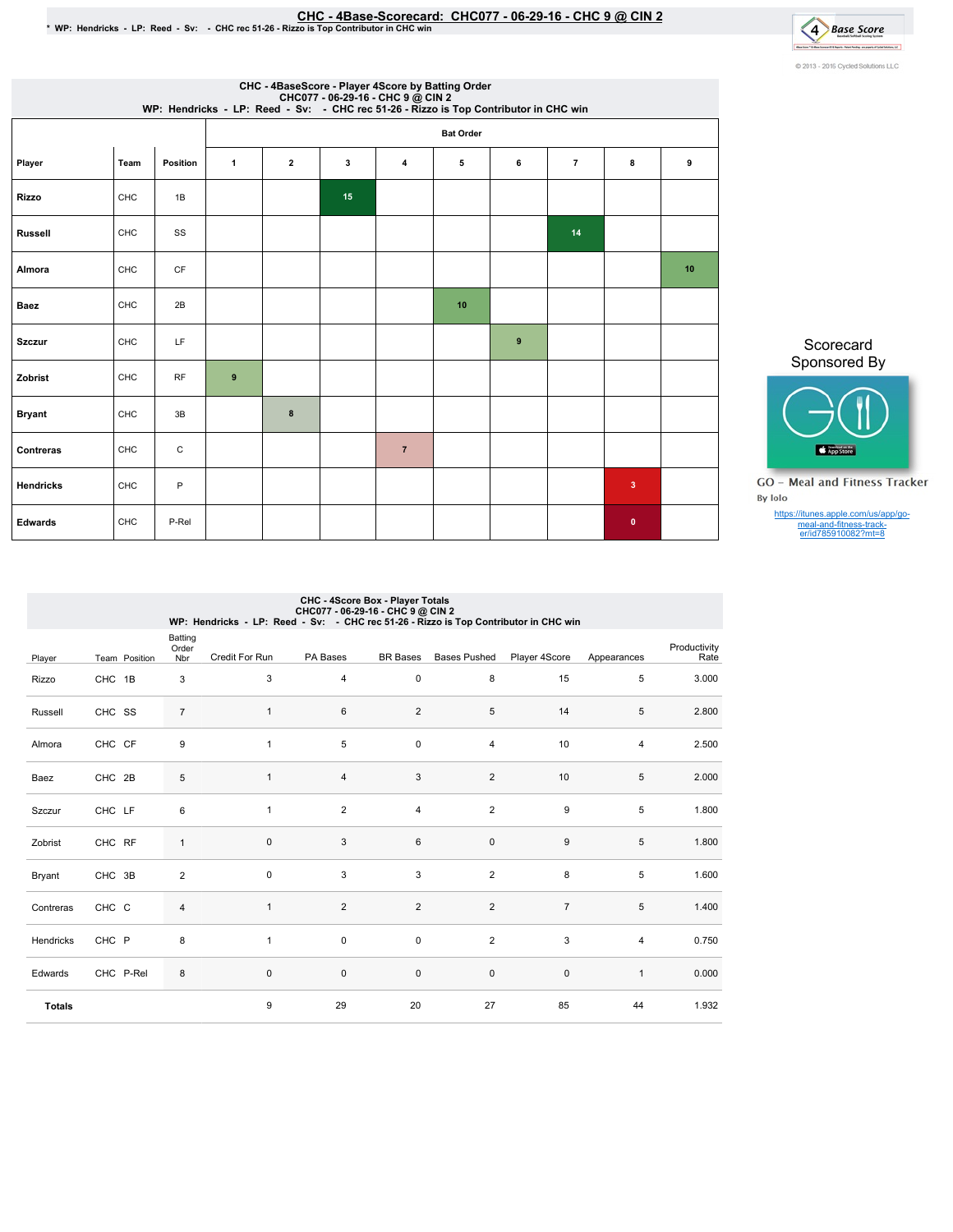## CHC-4Base-Scorecard:CHC077-06-29-16-CHC9@ CIN2 \*WP:Hendricks-LP:Reed-Sv: -CHCrec51-26-RizzoisTopContributorinCHCwin



|                  |      |          |              |                  |    | CHC - 4BaseScore - Player 4Score by Batting Order                                                                         |    |   |                |              |    |  |  |
|------------------|------|----------|--------------|------------------|----|---------------------------------------------------------------------------------------------------------------------------|----|---|----------------|--------------|----|--|--|
|                  |      |          |              |                  |    | CHC077 - 06-29-16 - CHC 9 @ CIN 2<br>WP: Hendricks - LP: Reed - Sv: - CHC rec 51-26 - Rizzo is Top Contributor in CHC win |    |   |                |              |    |  |  |
|                  |      |          |              | <b>Bat Order</b> |    |                                                                                                                           |    |   |                |              |    |  |  |
| Player           | Team | Position | $\mathbf{1}$ | $\overline{2}$   | 3  | 4                                                                                                                         | 5  | 6 | $\overline{7}$ | 8            | 9  |  |  |
| <b>Rizzo</b>     | CHC  | 1B       |              |                  | 15 |                                                                                                                           |    |   |                |              |    |  |  |
| <b>Russell</b>   | CHC  | SS       |              |                  |    |                                                                                                                           |    |   | 14             |              |    |  |  |
| Almora           | CHC  | CF       |              |                  |    |                                                                                                                           |    |   |                |              | 10 |  |  |
| <b>Baez</b>      | CHC  | 2B       |              |                  |    |                                                                                                                           | 10 |   |                |              |    |  |  |
| <b>Szczur</b>    | CHC  | LF       |              |                  |    |                                                                                                                           |    | 9 |                |              |    |  |  |
| Zobrist          | CHC  | RF       | 9            |                  |    |                                                                                                                           |    |   |                |              |    |  |  |
| <b>Bryant</b>    | CHC  | 3B       |              | 8                |    |                                                                                                                           |    |   |                |              |    |  |  |
| Contreras        | CHC  | С        |              |                  |    | $\overline{7}$                                                                                                            |    |   |                |              |    |  |  |
| <b>Hendricks</b> | CHC  | P        |              |                  |    |                                                                                                                           |    |   |                | $\mathbf{3}$ |    |  |  |
| <b>Edwards</b>   | CHC  | P-Rel    |              |                  |    |                                                                                                                           |    |   |                | $\mathbf{0}$ |    |  |  |

Scorecard Sponsored By



**GO** - Meal and Fitness Tracker By Iolo

https://itunes.apple.com/us/app/go-meal-and-fitness-track-er/id785910082?mt=8

| CHC - 4Score Box - Player Totals<br>CHC077 - 06-29-16 - CHC 9 @ CIN 2<br>WP: Hendricks - LP: Reed - Sv: - CHC rec 51-26 - Rizzo is Top Contributor in CHC win |               |                         |                |                |                 |                     |                  |                |                      |  |  |
|---------------------------------------------------------------------------------------------------------------------------------------------------------------|---------------|-------------------------|----------------|----------------|-----------------|---------------------|------------------|----------------|----------------------|--|--|
| Player                                                                                                                                                        | Team Position | Batting<br>Order<br>Nbr | Credit For Run | PA Bases       | <b>BR</b> Bases | <b>Bases Pushed</b> | Player 4Score    | Appearances    | Productivity<br>Rate |  |  |
| Rizzo                                                                                                                                                         | CHC 1B        | 3                       | 3              | $\overline{4}$ | $\mathbf 0$     | 8                   | 15               | 5              | 3.000                |  |  |
| Russell                                                                                                                                                       | CHC SS        | $\overline{7}$          | $\mathbf{1}$   | 6              | 2               | 5                   | 14               | 5              | 2.800                |  |  |
| Almora                                                                                                                                                        | CHC CF        | 9                       | $\mathbf{1}$   | 5              | $\mathbf 0$     | $\overline{4}$      | 10               | $\overline{4}$ | 2.500                |  |  |
| Baez                                                                                                                                                          | CHC 2B        | 5                       | $\mathbf{1}$   | $\overline{4}$ | 3               | 2                   | 10               | 5              | 2.000                |  |  |
| Szczur                                                                                                                                                        | CHC LF        | 6                       | $\mathbf{1}$   | $\overline{2}$ | $\overline{4}$  | 2                   | $\boldsymbol{9}$ | 5              | 1.800                |  |  |
| Zobrist                                                                                                                                                       | CHC RF        | $\mathbf{1}$            | $\mathbf 0$    | 3              | 6               | $\mathbf 0$         | 9                | 5              | 1.800                |  |  |
| <b>Bryant</b>                                                                                                                                                 | CHC 3B        | $\overline{2}$          | 0              | 3              | 3               | $\overline{2}$      | 8                | 5              | 1.600                |  |  |
| Contreras                                                                                                                                                     | CHC C         | $\overline{4}$          | $\mathbf{1}$   | 2              | 2               | 2                   | $\overline{7}$   | 5              | 1.400                |  |  |
| Hendricks                                                                                                                                                     | CHC P         | 8                       | $\mathbf{1}$   | $\Omega$       | $\Omega$        | 2                   | 3                | $\overline{4}$ | 0.750                |  |  |
| Edwards                                                                                                                                                       | CHC P-Rel     | 8                       | 0              | $\mathbf 0$    | $\mathbf 0$     | $\mathbf 0$         | $\pmb{0}$        | $\mathbf{1}$   | 0.000                |  |  |
| <b>Totals</b>                                                                                                                                                 |               |                         | 9              | 29             | 20              | 27                  | 85               | 44             | 1.932                |  |  |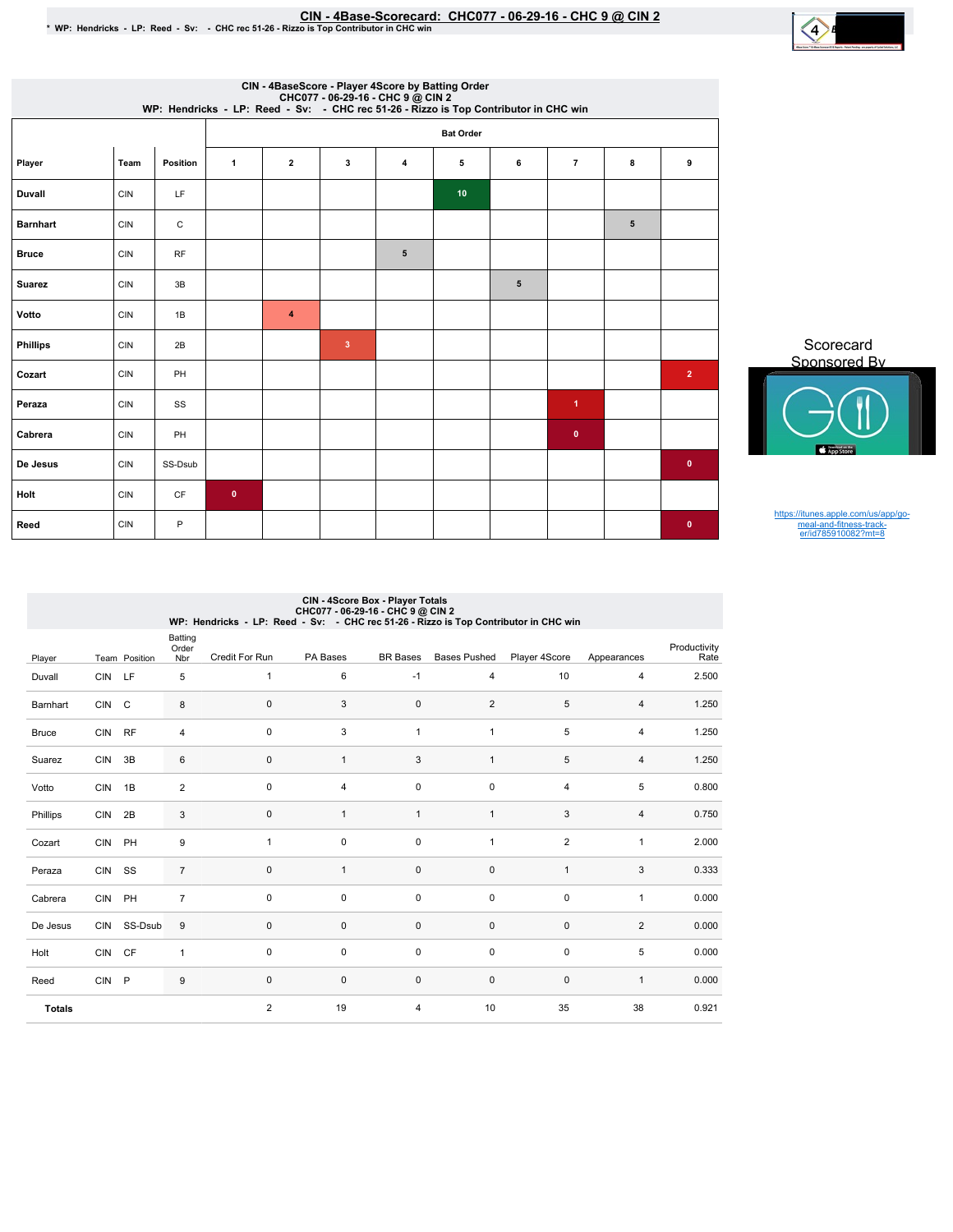

|                 |            |              | CHC077 - 06-29-16 - CHC 9 @ CIN 2<br>WP: Hendricks - LP: Reed - Sv: - CHC rec 51-26 - Rizzo is Top Contributor in CHC win |                |   |   | CIN - 4BaseScore - Player 4Score by Batting Order |   |                |           |                |
|-----------------|------------|--------------|---------------------------------------------------------------------------------------------------------------------------|----------------|---|---|---------------------------------------------------|---|----------------|-----------|----------------|
|                 |            |              |                                                                                                                           |                |   |   | <b>Bat Order</b>                                  |   |                |           |                |
| Player          | Team       | Position     | $\mathbf{1}$                                                                                                              | $\overline{2}$ | 3 | 4 | 5                                                 | 6 | $\overline{7}$ | 8         | 9              |
| <b>Duvall</b>   | <b>CIN</b> | LF           |                                                                                                                           |                |   |   | 10 <sub>1</sub>                                   |   |                |           |                |
| <b>Barnhart</b> | <b>CIN</b> | $\mathtt{C}$ |                                                                                                                           |                |   |   |                                                   |   |                | ${\bf 5}$ |                |
| <b>Bruce</b>    | <b>CIN</b> | <b>RF</b>    |                                                                                                                           |                |   | 5 |                                                   |   |                |           |                |
| <b>Suarez</b>   | <b>CIN</b> | 3B           |                                                                                                                           |                |   |   |                                                   | 5 |                |           |                |
| Votto           | <b>CIN</b> | 1B           |                                                                                                                           | $\overline{4}$ |   |   |                                                   |   |                |           |                |
| <b>Phillips</b> | <b>CIN</b> | 2B           |                                                                                                                           |                | 3 |   |                                                   |   |                |           |                |
| Cozart          | <b>CIN</b> | PH           |                                                                                                                           |                |   |   |                                                   |   |                |           | $\overline{2}$ |
| Peraza          | <b>CIN</b> | SS           |                                                                                                                           |                |   |   |                                                   |   | $\overline{1}$ |           |                |
| Cabrera         | <b>CIN</b> | PH           |                                                                                                                           |                |   |   |                                                   |   | $\mathbf{0}$   |           |                |
| De Jesus        | <b>CIN</b> | SS-Dsub      |                                                                                                                           |                |   |   |                                                   |   |                |           | $\bullet$      |
| Holt            | <b>CIN</b> | CF           | $\pmb{0}$                                                                                                                 |                |   |   |                                                   |   |                |           |                |
| Reed            | <b>CIN</b> | P            |                                                                                                                           |                |   |   |                                                   |   |                |           | $\bullet$      |

Scorecard Sponsored By

https://itunes.apple.com/us/app/go-meal-and-fitness-track-er/id785910082?mt=8

|               |            |               |                         | WP: Hendricks - LP: Reed - Sv: - CHC rec 51-26 - Rizzo is Top Contributor in CHC win | CHC077 - 06-29-16 - CHC 9 @ CIN 2 | CIN - 4Score Box - Player Totals |                     |                |                |                      |
|---------------|------------|---------------|-------------------------|--------------------------------------------------------------------------------------|-----------------------------------|----------------------------------|---------------------|----------------|----------------|----------------------|
| Player        |            | Team Position | Batting<br>Order<br>Nbr | Credit For Run                                                                       | PA Bases                          | <b>BR</b> Bases                  | <b>Bases Pushed</b> | Player 4Score  | Appearances    | Productivity<br>Rate |
| Duvall        | CIN LF     |               | 5                       | $\mathbf{1}$                                                                         | 6                                 | $-1$                             | $\overline{4}$      | 10             | $\overline{4}$ | 2.500                |
| Barnhart      | <b>CIN</b> | $\mathsf{C}$  | 8                       | $\mathbf 0$                                                                          | 3                                 | 0                                | $\overline{2}$      | $\,$ 5 $\,$    | $\overline{4}$ | 1.250                |
| <b>Bruce</b>  | <b>CIN</b> | <b>RF</b>     | 4                       | 0                                                                                    | 3                                 | $\mathbf{1}$                     | 1                   | 5              | 4              | 1.250                |
| Suarez        | <b>CIN</b> | 3B            | 6                       | $\pmb{0}$                                                                            | $\mathbf{1}$                      | 3                                | $\mathbf{1}$        | $\,$ 5 $\,$    | $\overline{4}$ | 1.250                |
| Votto         | <b>CIN</b> | 1B            | $\overline{2}$          | $\pmb{0}$                                                                            | 4                                 | 0                                | $\pmb{0}$           | $\overline{4}$ | 5              | 0.800                |
| Phillips      | <b>CIN</b> | 2B            | 3                       | $\pmb{0}$                                                                            | $\mathbf{1}$                      | $\mathbf{1}$                     | $\mathbf{1}$        | 3              | $\overline{4}$ | 0.750                |
| Cozart        | <b>CIN</b> | PH            | 9                       | $\mathbf{1}$                                                                         | $\mathbf 0$                       | 0                                | 1                   | $\overline{2}$ | $\mathbf{1}$   | 2.000                |
| Peraza        | <b>CIN</b> | SS            | $\overline{7}$          | $\pmb{0}$                                                                            | $\mathbf{1}$                      | 0                                | $\mathbf 0$         | $\mathbf{1}$   | 3              | 0.333                |
| Cabrera       | <b>CIN</b> | PH            | $\overline{7}$          | $\mathbf 0$                                                                          | $\mathbf 0$                       | 0                                | $\mathbf 0$         | $\mathbf 0$    | $\mathbf{1}$   | 0.000                |
| De Jesus      |            | CIN SS-Dsub   | 9                       | 0                                                                                    | 0                                 | 0                                | $\pmb{0}$           | $\pmb{0}$      | $\overline{2}$ | 0.000                |
| Holt          | <b>CIN</b> | CF            | $\mathbf{1}$            | $\pmb{0}$                                                                            | $\mathbf 0$                       | 0                                | $\mathbf 0$         | $\mathbf 0$    | 5              | 0.000                |
| Reed          | <b>CIN</b> | $\mathsf{P}$  | 9                       | $\pmb{0}$                                                                            | 0                                 | 0                                | $\pmb{0}$           | $\pmb{0}$      | $\mathbf{1}$   | 0.000                |
| <b>Totals</b> |            |               |                         | $\overline{2}$                                                                       | 19                                | 4                                | 10                  | 35             | 38             | 0.921                |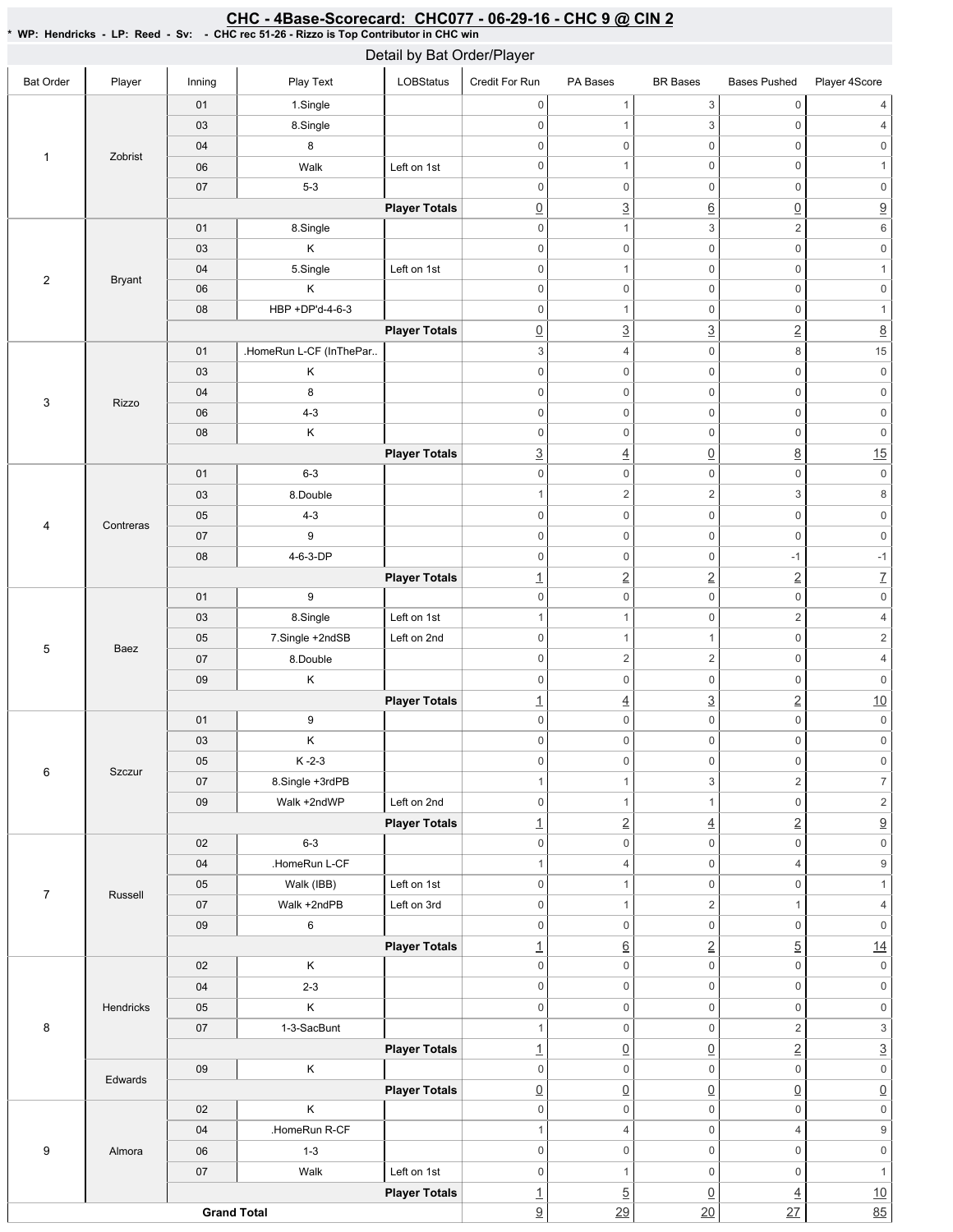|                           | Detail by Bat Order/Player<br><b>LOBStatus</b><br>Credit For Run<br><b>Bat Order</b><br>Player<br>Play Text<br>PA Bases<br>Player 4Score<br>Inning<br><b>BR</b> Bases<br><b>Bases Pushed</b> |                    |                             |                      |                                  |                                       |                            |                                       |                                       |  |  |  |  |
|---------------------------|----------------------------------------------------------------------------------------------------------------------------------------------------------------------------------------------|--------------------|-----------------------------|----------------------|----------------------------------|---------------------------------------|----------------------------|---------------------------------------|---------------------------------------|--|--|--|--|
|                           |                                                                                                                                                                                              |                    |                             |                      |                                  |                                       |                            |                                       |                                       |  |  |  |  |
|                           |                                                                                                                                                                                              | 01                 | 1.Single                    |                      | $\mathbb O$                      | $\mathbf{1}$                          | $\,3$                      | $\mathsf{O}\xspace$                   | 4                                     |  |  |  |  |
|                           |                                                                                                                                                                                              | 03                 | 8.Single                    |                      | $\mathbf 0$                      | $\mathbf{1}$                          | $\,$ 3 $\,$                | $\mathsf 0$                           | $\overline{4}$                        |  |  |  |  |
| $\mathbf{1}$              | Zobrist                                                                                                                                                                                      | 04                 | 8                           |                      | $\mathbf 0$                      | $\mathsf{O}\xspace$                   | $\mathsf 0$                | $\mathsf{O}\xspace$                   | $\boldsymbol{0}$                      |  |  |  |  |
|                           |                                                                                                                                                                                              | 06                 | Walk                        | Left on 1st          | $\mathbf 0$                      | $\mathbf{1}$                          | $\mathsf 0$                | $\mathsf{O}\xspace$                   | $\mathbf{1}$                          |  |  |  |  |
|                           |                                                                                                                                                                                              | 07                 | $5-3$                       |                      | $\mathbf 0$                      | $\mathsf{O}\xspace$                   | $\mathsf 0$                | $\mathsf{O}\xspace$                   | $\mathsf{0}$                          |  |  |  |  |
|                           |                                                                                                                                                                                              |                    |                             | <b>Player Totals</b> | $\underline{0}$                  | $\overline{3}$                        | $\underline{6}$            | $\underline{0}$                       | $\overline{\partial}$                 |  |  |  |  |
|                           |                                                                                                                                                                                              | 01                 | 8.Single                    |                      | $\mathbf 0$                      | $\mathbf{1}$                          | 3                          | $\mathbf 2$                           | $\,$ 6 $\,$                           |  |  |  |  |
|                           |                                                                                                                                                                                              | 03                 | Κ                           |                      | $\boldsymbol{0}$                 | $\mathsf{O}\xspace$                   | $\mathsf 0$                | $\mathsf{O}\xspace$                   | $\mathsf 0$                           |  |  |  |  |
| $\overline{2}$            | <b>Bryant</b>                                                                                                                                                                                | 04                 | 5.Single                    | Left on 1st          | $\mathbf 0$                      | $\mathbf{1}$                          | $\mathsf{O}\xspace$        | $\mathsf{O}\xspace$                   | $\mathbf{1}$                          |  |  |  |  |
|                           |                                                                                                                                                                                              | 06                 | Κ                           |                      | $\mathbf 0$                      | $\mathsf{O}\xspace$                   | $\mathsf 0$                | $\mathsf{O}\xspace$                   | $\mathsf{O}\xspace$                   |  |  |  |  |
|                           |                                                                                                                                                                                              | 08                 | HBP +DP'd-4-6-3             |                      | $\mathbf 0$                      | $\mathbf{1}$                          | $\mathsf 0$                | $\mathsf{O}\xspace$                   | $\mathbf{1}$                          |  |  |  |  |
|                           |                                                                                                                                                                                              |                    |                             | <b>Player Totals</b> | $\underline{0}$                  | $\underline{3}$                       | $\overline{3}$             | $\underline{2}$                       | $\underline{8}$                       |  |  |  |  |
|                           |                                                                                                                                                                                              | 01                 | .HomeRun L-CF (InThePar     |                      | $\sqrt{3}$                       | $\sqrt{4}$                            | $\mathsf 0$                | $\,8\,$                               | 15                                    |  |  |  |  |
|                           |                                                                                                                                                                                              | 03                 | Κ                           |                      | $\mathbf 0$                      | $\mathsf{O}\xspace$                   | $\mathsf{O}\xspace$        | $\mathbf 0$                           | $\mathsf{O}\xspace$                   |  |  |  |  |
| $\ensuremath{\mathsf{3}}$ | Rizzo                                                                                                                                                                                        | 04                 | 8                           |                      | $\mathbf 0$                      | $\mathsf{O}\xspace$                   | $\mathsf 0$                | $\mathsf{O}\xspace$                   | $\mathsf{O}\xspace$                   |  |  |  |  |
|                           |                                                                                                                                                                                              | 06                 | $4 - 3$                     |                      | $\mathbf 0$                      | $\mathsf{O}\xspace$                   | $\mathsf 0$                | $\mathsf{O}\xspace$                   | $\mathsf{O}\xspace$                   |  |  |  |  |
|                           |                                                                                                                                                                                              | 08                 | Κ                           |                      | $\mathbf 0$                      | $\mathsf{O}\xspace$                   | $\mathsf{O}\xspace$        | $\mathsf{O}\xspace$                   | $\mathsf{O}\xspace$                   |  |  |  |  |
|                           |                                                                                                                                                                                              |                    |                             | <b>Player Totals</b> | $\overline{3}$                   | $\overline{4}$                        | $\underline{0}$            | $\underline{8}$                       | 15                                    |  |  |  |  |
|                           |                                                                                                                                                                                              | 01                 | $6 - 3$                     |                      | $\boldsymbol{0}$                 | $\mathsf{O}\xspace$                   | $\mathsf 0$                | $\mathbf 0$                           | $\mathsf{O}\xspace$                   |  |  |  |  |
|                           |                                                                                                                                                                                              | 03                 | 8.Double                    |                      | $\overline{1}$                   | $\overline{c}$                        | $\sqrt{2}$                 | 3                                     | $\,8\,$                               |  |  |  |  |
| 4                         | Contreras                                                                                                                                                                                    | 05                 | $4 - 3$                     |                      | $\boldsymbol{0}$                 | $\mathsf{O}\xspace$                   | $\mathsf 0$                | $\mathsf{O}\xspace$                   | $\mathsf 0$                           |  |  |  |  |
|                           |                                                                                                                                                                                              | 07                 | 9                           |                      | $\mathbf 0$                      | $\mathsf{O}\xspace$                   | $\mathsf 0$                | $\mathsf 0$                           | $\mathsf 0$                           |  |  |  |  |
|                           |                                                                                                                                                                                              | 08                 | 4-6-3-DP                    |                      | $\mathbf 0$                      | $\mathsf{O}\xspace$                   | $\mathsf 0$                | $-1$                                  | $-1$                                  |  |  |  |  |
|                           |                                                                                                                                                                                              |                    |                             | <b>Player Totals</b> | $\overline{1}$                   | $\overline{2}$<br>$\mathsf{O}\xspace$ | $\underline{2}$            | $\underline{2}$                       | $\overline{1}$<br>$\mathsf{O}\xspace$ |  |  |  |  |
|                           |                                                                                                                                                                                              | 01                 | 9                           | Left on 1st          | $\boldsymbol{0}$<br>$\mathbf{1}$ | $\mathbf{1}$                          | $\mathsf 0$<br>$\mathsf 0$ | $\mathsf{O}\xspace$<br>$\overline{2}$ | $\sqrt{4}$                            |  |  |  |  |
|                           |                                                                                                                                                                                              | 03<br>05           | 8.Single<br>7.Single +2ndSB | Left on 2nd          | $\mathbf 0$                      | $\mathbf{1}$                          | $\mathbf{1}$               | $\mathsf{O}\xspace$                   | $\sqrt{2}$                            |  |  |  |  |
| 5                         | Baez                                                                                                                                                                                         |                    |                             |                      | $\mathbf 0$                      | $\overline{2}$                        | $\sqrt{2}$                 | $\mathsf{O}\xspace$                   | $\sqrt{4}$                            |  |  |  |  |
|                           |                                                                                                                                                                                              | 07<br>09           | 8.Double<br>Κ               |                      | $\mathbf 0$                      | $\mathsf{O}\xspace$                   | $\mathsf 0$                | $\mathsf{O}\xspace$                   | $\mathsf{O}\xspace$                   |  |  |  |  |
|                           |                                                                                                                                                                                              |                    |                             | <b>Player Totals</b> |                                  |                                       | $\underline{3}$            | $\underline{2}$                       | 10                                    |  |  |  |  |
|                           |                                                                                                                                                                                              | 01                 | 9                           |                      | $\overline{1}$<br>$\mathbf 0$    | $\overline{4}$<br>$\mathsf{O}\xspace$ | $\mathsf 0$                | $\mathsf{O}\xspace$                   | $\mathsf{O}\xspace$                   |  |  |  |  |
|                           |                                                                                                                                                                                              | 03                 | Κ                           |                      | 0                                | 0                                     | 0                          | 0                                     | $\boldsymbol{0}$                      |  |  |  |  |
|                           |                                                                                                                                                                                              | 05                 | $K - 2 - 3$                 |                      | $\mathsf 0$                      | $\mathbf 0$                           | $\mathsf 0$                | $\mathsf 0$                           | $\mathsf{O}\xspace$                   |  |  |  |  |
| 6                         | Szczur                                                                                                                                                                                       | 07                 | 8.Single +3rdPB             |                      | $\mathbf{1}$                     | $\mathbf{1}$                          | 3                          | 2                                     | $\overline{7}$                        |  |  |  |  |
|                           |                                                                                                                                                                                              | $09\,$             | Walk +2ndWP                 | Left on 2nd          | $\mathbb O$                      | $\mathbf{1}$                          | $\mathbf{1}$               | $\mathsf{O}\xspace$                   | $\sqrt{2}$                            |  |  |  |  |
|                           |                                                                                                                                                                                              |                    |                             | <b>Player Totals</b> | $\underline{1}$                  | $\overline{2}$                        | $\overline{4}$             | $\underline{2}$                       | $\underline{9}$                       |  |  |  |  |
|                           |                                                                                                                                                                                              | 02                 | $6 - 3$                     |                      | $\mathbf 0$                      | $\mathsf{O}\xspace$                   | $\mathsf 0$                | $\mathsf{O}\xspace$                   | $\mathsf{O}\xspace$                   |  |  |  |  |
|                           |                                                                                                                                                                                              | 04                 | .HomeRun L-CF               |                      | $\mathbf{1}$                     | 4                                     | $\mathsf{O}\xspace$        | $\overline{4}$                        | $\boldsymbol{9}$                      |  |  |  |  |
|                           |                                                                                                                                                                                              | 05                 | Walk (IBB)                  | Left on 1st          | $\,0\,$                          | $\mathbf{1}$                          | $\mathsf 0$                | $\mathbb O$                           | $\mathbf{1}$                          |  |  |  |  |
| $\overline{7}$            | Russell                                                                                                                                                                                      | 07                 | Walk +2ndPB                 | Left on 3rd          | $\boldsymbol{0}$                 | $\mathbf{1}$                          | $\sqrt{2}$                 | $\mathbf{1}$                          | $\overline{4}$                        |  |  |  |  |
|                           |                                                                                                                                                                                              | 09                 | $\,6\,$                     |                      | $\mathbf 0$                      | $\mathsf{O}\xspace$                   | $\mathsf 0$                | $\mathbf 0$                           | $\mathsf{O}\xspace$                   |  |  |  |  |
|                           |                                                                                                                                                                                              |                    |                             | <b>Player Totals</b> | $\underline{\mathbf{1}}$         | $\underline{6}$                       | $\underline{2}$            | $\overline{5}$                        | 14                                    |  |  |  |  |
|                           |                                                                                                                                                                                              | 02                 | Κ                           |                      | $\mathbb O$                      | $\mathsf{O}\xspace$                   | 0                          | $\mathbb O$                           | $\mathsf{O}\xspace$                   |  |  |  |  |
|                           |                                                                                                                                                                                              | 04                 | $2 - 3$                     |                      | $\mathbf 0$                      | $\mathsf{O}\xspace$                   | $\mathsf 0$                | $\mathbb O$                           | $\mathsf{O}\xspace$                   |  |  |  |  |
|                           | Hendricks                                                                                                                                                                                    | 05                 | $\sf K$                     |                      | $\mathbb O$                      | $\mathsf{O}\xspace$                   | $\mathsf 0$                | $\mathbf 0$                           | $\mathsf{0}$                          |  |  |  |  |
| $\bf 8$                   |                                                                                                                                                                                              | 07                 | 1-3-SacBunt                 |                      | $\mathbf{1}$                     | $\mathsf{O}\xspace$                   | $\mathsf 0$                | $\overline{c}$                        | $\ensuremath{\mathsf{3}}$             |  |  |  |  |
|                           |                                                                                                                                                                                              |                    |                             | <b>Player Totals</b> | $\overline{1}$                   | $\underline{0}$                       | $\underline{0}$            | $\underline{2}$                       | $\overline{3}$                        |  |  |  |  |
|                           |                                                                                                                                                                                              | 09                 | $\sf K$                     |                      | $\mathbb O$                      | $\mathsf{O}\xspace$                   | $\mathsf{O}\xspace$        | $\mathsf{O}\xspace$                   | $\overline{\mathbf{0}}$               |  |  |  |  |
|                           | Edwards                                                                                                                                                                                      |                    |                             | <b>Player Totals</b> | $\underline{0}$                  | $\underline{0}$                       | $\underline{0}$            | $\underline{0}$                       | $\underline{0}$                       |  |  |  |  |
|                           |                                                                                                                                                                                              | 02                 | $\sf K$                     |                      | $\mathbf 0$                      | $\mathsf{O}\xspace$                   | $\mathsf 0$                | $\mathsf{O}\xspace$                   | $\mathsf{O}\xspace$                   |  |  |  |  |
|                           |                                                                                                                                                                                              | 04                 | .HomeRun R-CF               |                      | $\mathbf{1}$                     | $\overline{4}$                        | $\mathsf 0$                | $\overline{4}$                        | $\boldsymbol{9}$                      |  |  |  |  |
| $\boldsymbol{9}$          | Almora                                                                                                                                                                                       | 06                 | $1 - 3$                     |                      | $\mathbb O$                      | $\mathsf{O}\xspace$                   | $\mathsf 0$                | $\mathbb O$                           | $\mathsf{O}\xspace$                   |  |  |  |  |
|                           |                                                                                                                                                                                              | $07\,$             | Walk                        | Left on 1st          | $\mathbf 0$                      | $\mathbf{1}$                          | $\mathsf 0$                | $\mathbb O$                           | $\mathbf{1}$                          |  |  |  |  |
|                           |                                                                                                                                                                                              |                    |                             | <b>Player Totals</b> | $\overline{1}$                   | $\underline{5}$                       | $\underline{0}$            | $\overline{4}$                        | $\frac{10}{85}$                       |  |  |  |  |
|                           |                                                                                                                                                                                              | <b>Grand Total</b> |                             |                      | $\underline{9}$                  | 29                                    | 20                         | 27                                    |                                       |  |  |  |  |

CHC - 4Base-Scorecard: CHC077 - 06-29-16 - CHC 9 @ CIN 2

\*WP:Hendricks-LP:Reed-Sv: -CHCrec51-26-RizzoisTopContributorinCHCwin